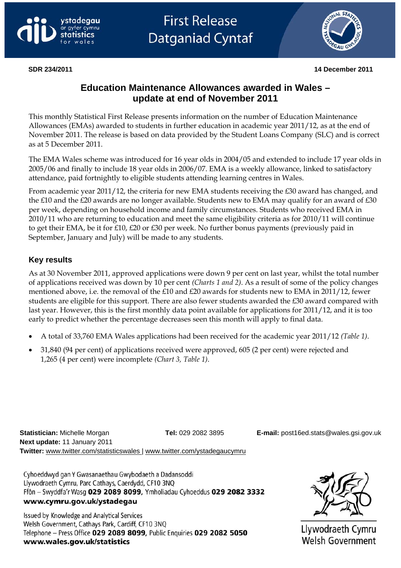





**SDR 234/2011 14 December 2011** 

# **Education Maintenance Allowances awarded in Wales – update at end of November 2011**

This monthly Statistical First Release presents information on the number of Education Maintenance Allowances (EMAs) awarded to students in further education in academic year 2011/12, as at the end of November 2011. The release is based on data provided by the Student Loans Company (SLC) and is correct as at 5 December 2011.

The EMA Wales scheme was introduced for 16 year olds in 2004/05 and extended to include 17 year olds in 2005/06 and finally to include 18 year olds in 2006/07. EMA is a weekly allowance, linked to satisfactory attendance, paid fortnightly to eligible students attending learning centres in Wales.

From academic year 2011/12, the criteria for new EMA students receiving the £30 award has changed, and the £10 and the £20 awards are no longer available. Students new to EMA may qualify for an award of £30 per week, depending on household income and family circumstances. Students who received EMA in 2010/11 who are returning to education and meet the same eligibility criteria as for 2010/11 will continue to get their EMA, be it for £10, £20 or £30 per week. No further bonus payments (previously paid in September, January and July) will be made to any students.

# **Key results**

As at 30 November 2011, approved applications were down 9 per cent on last year, whilst the total number of applications received was down by 10 per cent *(Charts 1 and 2)*. As a result of some of the policy changes mentioned above, i.e. the removal of the £10 and £20 awards for students new to EMA in 2011/12, fewer students are eligible for this support. There are also fewer students awarded the £30 award compared with last year. However, this is the first monthly data point available for applications for 2011/12, and it is too early to predict whether the percentage decreases seen this month will apply to final data.

- A total of 33,760 EMA Wales applications had been received for the academic year 2011/12 *(Table 1)*.
- 31,840 (94 per cent) of applications received were approved, 605 (2 per cent) were rejected and 1,265 (4 per cent) were incomplete *(Chart 3, Table 1)*.

**Statistician:** Michelle Morgan **Tel:** 029 2082 3895 **E-mail:** [post16ed.stats@wales.gsi.gov.uk](mailto:post16ed.stats@wales.gsi.gov.uk)  **Next update:** 11 January 2011 **Twitter:** www.twitter.com/statisticswales | [www.twitter.com/ystadegaucymru](http://www.twitter.com/ystadegaucymru) 

Cyhoeddwyd gan Y Gwasanaethau Gwybodaeth a Dadansoddi Llywodraeth Cymru, Parc Cathays, Caerdydd, CF10 3NQ Ffôn - Swyddfa'r Wasg 029 2089 8099, Ymholiadau Cyhoeddus 029 2082 3332 www.cymru.gov.uk/ystadegau

Issued by Knowledge and Analytical Services Welsh Government, Cathays Park, Cardiff, CF10 3NO Telephone - Press Office 029 2089 8099, Public Enquiries 029 2082 5050 www.wales.gov.uk/statistics



Llywodraeth Cymru Welsh Government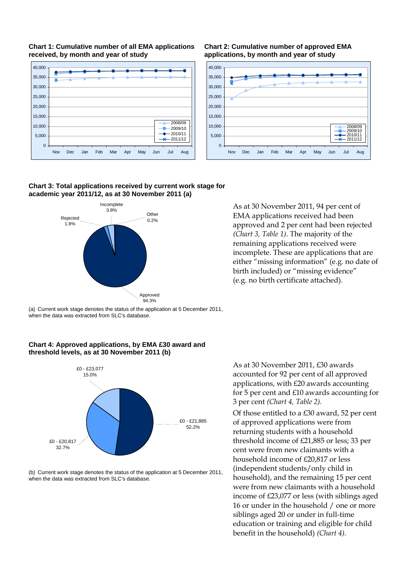



**Chart 2: Cumulative number of approved EMA applications, by month and year of study**



#### **Chart 3: Total applications received by current work stage for academic year 2011/12, as at 30 November 2011 (a)**



As at 30 November 2011, 94 per cent of EMA applications received had been approved and 2 per cent had been rejected *(Chart 3, Table 1)*. The majority of the remaining applications received were incomplete. These are applications that are either "missing information" (e.g. no date of birth included) or "missing evidence" (e.g. no birth certificate attached).

(a) Current work stage denotes the status of the application at 5 December 2011, when the data was extracted from SLC's database.





(b) Current work stage denotes the status of the application at 5 December 2011, when the data was extracted from SLC's database.

As at 30 November 2011, £30 awards accounted for 92 per cent of all approved applications, with £20 awards accounting for 5 per cent and £10 awards accounting for 3 per cent *(Chart 4, Table 2).* 

Of those entitled to a £30 award, 52 per cent of approved applications were from returning students with a household threshold income of £21,885 or less; 33 per cent were from new claimants with a household income of £20,817 or less (independent students/only child in household), and the remaining 15 per cent were from new claimants with a household income of £23,077 or less (with siblings aged 16 or under in the household / one or more siblings aged 20 or under in full-time education or training and eligible for child benefit in the household) *(Chart 4).*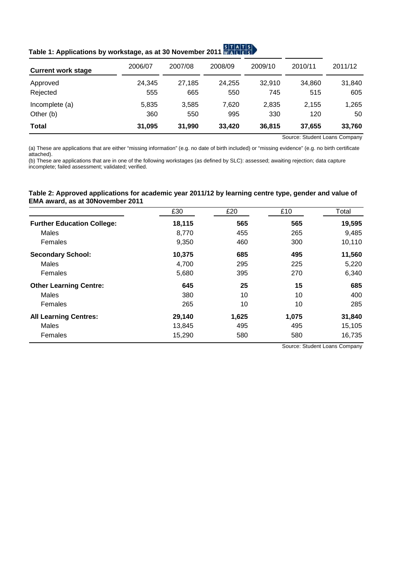| ITALES]<br>Table 1: Applications by workstage, as at 30 November 2011 MALLES |  |
|------------------------------------------------------------------------------|--|
|                                                                              |  |

| <b>Current work stage</b> | 2006/07 | 2007/08 | 2008/09 | 2009/10 | 2010/11 | 2011/12 |
|---------------------------|---------|---------|---------|---------|---------|---------|
| Approved                  | 24.345  | 27.185  | 24.255  | 32.910  | 34.860  | 31,840  |
| Rejected                  | 555     | 665     | 550     | 745     | 515     | 605     |
| Incomplete (a)            | 5.835   | 3,585   | 7.620   | 2.835   | 2.155   | 1,265   |
| Other (b)                 | 360     | 550     | 995     | 330     | 120     | 50      |
| Total                     | 31,095  | 31,990  | 33,420  | 36,815  | 37.655  | 33,760  |

Source: Student Loans Company

(a) These are applications that are either "missing information" (e.g. no date of birth included) or "missing evidence" (e.g. no birth certificate attached).

(b) These are applications that are in one of the following workstages (as defined by SLC): assessed; awaiting rejection; data capture incomplete; failed assessment; validated; verified.

#### **Table 2: Approved applications for academic year 2011/12 by learning centre type, gender and value of EMA award, as at 30November 2011**

<span id="page-2-0"></span>

|                                   | £30    | £20   | £10   | Total  |
|-----------------------------------|--------|-------|-------|--------|
| <b>Further Education College:</b> | 18,115 | 565   | 565   | 19,595 |
| Males                             | 8,770  | 455   | 265   | 9,485  |
| Females                           | 9,350  | 460   | 300   | 10,110 |
| <b>Secondary School:</b>          | 10,375 | 685   | 495   | 11,560 |
| Males                             | 4,700  | 295   | 225   | 5,220  |
| Females                           | 5,680  | 395   | 270   | 6,340  |
| <b>Other Learning Centre:</b>     | 645    | 25    | 15    | 685    |
| Males                             | 380    | 10    | 10    | 400    |
| Females                           | 265    | 10    | 10    | 285    |
| <b>All Learning Centres:</b>      | 29,140 | 1,625 | 1,075 | 31,840 |
| <b>Males</b>                      | 13,845 | 495   | 495   | 15,105 |
| Females                           | 15,290 | 580   | 580   | 16,735 |

Source: Student Loans Company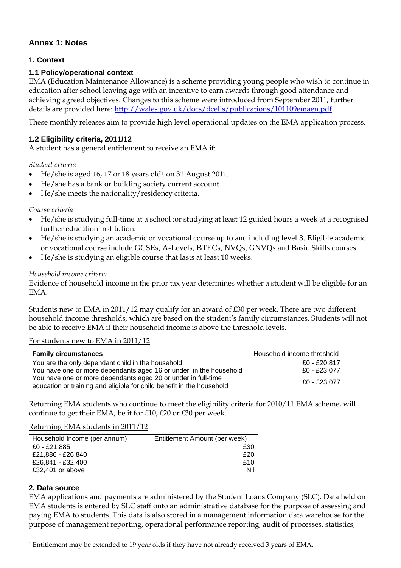# **Annex 1: Notes**

### **1. Context**

### **1.1 Policy/operational context**

EMA (Education Maintenance Allowance) is a scheme providing young people who wish to continue in education after school leaving age with an incentive to earn awards through good attendance and achieving agreed objectives. Changes to this scheme were introduced from September 2011, further details are provided here: <http://wales.gov.uk/docs/dcells/publications/101109emaen.pdf>

These monthly releases aim to provide high level operational updates on the EMA application process.

### **1.2 Eligibility criteria, 2011/12**

A student has a general entitlement to receive an EMA if:

*Student criteria* 

- He/she is aged [1](#page-2-0)6, 17 or 18 years old<sup>1</sup> on 31 August 2011.
- He/she has a bank or building society current account.
- He/she meets the nationality/residency criteria.

#### *Course criteria*

- He/she is studying full-time at a school ;or studying at least 12 guided hours a week at a recognised further education institution.
- He/she is studying an academic or vocational course up to and including level 3. Eligible academic or vocational course include GCSEs, A-Levels, BTECs, NVQs, GNVQs and Basic Skills courses.
- He/she is studying an eligible course that lasts at least 10 weeks.

#### *Household income criteria*

Evidence of household income in the prior tax year determines whether a student will be eligible for an EMA.

Students new to EMA in 2011/12 may qualify for an award of £30 per week. There are two different household income thresholds, which are based on the student's family circumstances. Students will not be able to receive EMA if their household income is above the threshold levels.

For students new to EMA in 2011/12

| <b>Family circumstances</b>                                           | Household income threshold |
|-----------------------------------------------------------------------|----------------------------|
| You are the only dependant child in the household                     | £0 - £20.817               |
| You have one or more dependants aged 16 or under in the household     | £0 - £23.077               |
| You have one or more dependants aged 20 or under in full-time         | £0 - £23.077               |
| education or training and eligible for child benefit in the household |                            |

Returning EMA students who continue to meet the eligibility criteria for 2010/11 EMA scheme, will continue to get their EMA, be it for £10, £20 or £30 per week.

Returning EMA students in 2011/12

| Household Income (per annum) | Entitlement Amount (per week) |
|------------------------------|-------------------------------|
| £0 - £21,885                 | £30                           |
| £21,886 - £26,840            | £20                           |
| £26,841 - £32,400            | £10                           |
| £32,401 or above             | Nil                           |
|                              |                               |

#### **2. Data source**

EMA applications and payments are administered by the Student Loans Company (SLC). Data held on EMA students is entered by SLC staff onto an administrative database for the purpose of assessing and paying EMA to students. This data is also stored in a management information data warehouse for the purpose of management reporting, operational performance reporting, audit of processes, statistics,

 $\overline{a}$ 1 Entitlement may be extended to 19 year olds if they have not already received 3 years of EMA.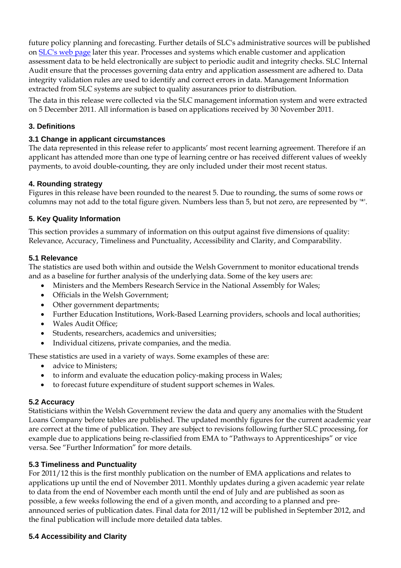future policy planning and forecasting. Further details of SLC's administrative sources will be published on [SLC's web page](http://www.slc.co.uk/) later this year. Processes and systems which enable customer and application assessment data to be held electronically are subject to periodic audit and integrity checks. SLC Internal Audit ensure that the processes governing data entry and application assessment are adhered to. Data integrity validation rules are used to identify and correct errors in data. Management Information extracted from SLC systems are subject to quality assurances prior to distribution.

The data in this release were collected via the SLC management information system and were extracted on 5 December 2011. All information is based on applications received by 30 November 2011.

### **3. Definitions**

#### **3.1 Change in applicant circumstances**

The data represented in this release refer to applicants' most recent learning agreement. Therefore if an applicant has attended more than one type of learning centre or has received different values of weekly payments, to avoid double-counting, they are only included under their most recent status.

#### **4. Rounding strategy**

Figures in this release have been rounded to the nearest 5. Due to rounding, the sums of some rows or columns may not add to the total figure given. Numbers less than 5, but not zero, are represented by '\*'.

#### **5. Key Quality Information**

This section provides a summary of information on this output against five dimensions of quality: Relevance, Accuracy, Timeliness and Punctuality, Accessibility and Clarity, and Comparability.

#### **5.1 Relevance**

The statistics are used both within and outside the Welsh Government to monitor educational trends and as a baseline for further analysis of the underlying data. Some of the key users are:

- Ministers and the Members Research Service in the National Assembly for Wales;
- Officials in the Welsh Government;
- Other government departments;
- Further Education Institutions, Work-Based Learning providers, schools and local authorities;
- Wales Audit Office;
- Students, researchers, academics and universities;
- Individual citizens, private companies, and the media.

These statistics are used in a variety of ways. Some examples of these are:

- advice to Ministers:
- to inform and evaluate the education policy-making process in Wales;
- to forecast future expenditure of student support schemes in Wales.

#### **5.2 Accuracy**

Statisticians within the Welsh Government review the data and query any anomalies with the Student Loans Company before tables are published. The updated monthly figures for the current academic year are correct at the time of publication. They are subject to revisions following further SLC processing, for example due to applications being re-classified from EMA to "Pathways to Apprenticeships" or vice versa. See "Further Information" for more details.

#### **5.3 Timeliness and Punctuality**

For 2011/12 this is the first monthly publication on the number of EMA applications and relates to applications up until the end of November 2011. Monthly updates during a given academic year relate to data from the end of November each month until the end of July and are published as soon as possible, a few weeks following the end of a given month, and according to a planned and preannounced series of publication dates. Final data for 2011/12 will be published in September 2012, and the final publication will include more detailed data tables.

#### **5.4 Accessibility and Clarity**